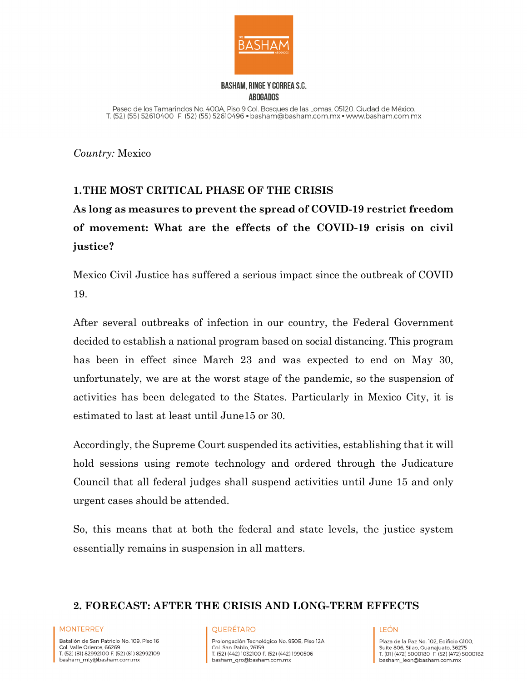

### **BASHAM, RINGE Y CORREA S.C. ABOGADOS**

Paseo de los Tamarindos No. 400A, Piso 9 Col. Bosques de las Lomas, 05120. Ciudad de México. T. (52) (55) 52610400 F. (52) (55) 52610496 · basham@basham.com.mx · www.basham.com.mx

*Country:* Mexico

# **1.THE MOST CRITICAL PHASE OF THE CRISIS**

**As long as measures to prevent the spread of COVID-19 restrict freedom of movement: What are the effects of the COVID-19 crisis on civil justice?**

Mexico Civil Justice has suffered a serious impact since the outbreak of COVID 19.

After several outbreaks of infection in our country, the Federal Government decided to establish a national program based on social distancing. This program has been in effect since March 23 and was expected to end on May 30, unfortunately, we are at the worst stage of the pandemic, so the suspension of activities has been delegated to the States. Particularly in Mexico City, it is estimated to last at least until June15 or 30.

Accordingly, the Supreme Court suspended its activities, establishing that it will hold sessions using remote technology and ordered through the Judicature Council that all federal judges shall suspend activities until June 15 and only urgent cases should be attended.

So, this means that at both the federal and state levels, the justice system essentially remains in suspension in all matters.

## **2. FORECAST: AFTER THE CRISIS AND LONG-TERM EFFECTS**

#### **MONTERREY**

Batallón de San Patricio No. 109, Piso 16 Col. Valle Oriente, 66269 T. (52) (81) 82992100 F. (52) (81) 82992109 basham\_mty@basham.com.mx

#### **QUERÉTARO**

Prolongación Tecnológico No. 950B, Piso 12A Col. San Pablo, 76159 T. (52) (442) 1032100 F. (52) (442) 1990506 basham\_qro@basham.com.mx

#### **IFÓN**

Plaza de la Paz No. 102. Edificio G100. Suite 806, Silao, Guanajuato, 36275 T. (01) (472) 5000180 F. (52) (472) 5000182 basham\_leon@basham.com.mx